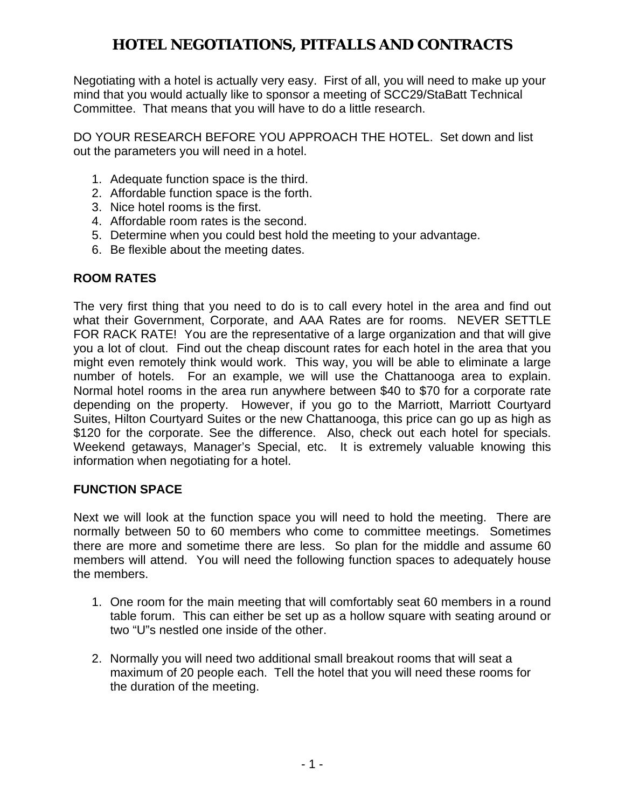Negotiating with a hotel is actually very easy. First of all, you will need to make up your mind that you would actually like to sponsor a meeting of SCC29/StaBatt Technical Committee. That means that you will have to do a little research.

DO YOUR RESEARCH BEFORE YOU APPROACH THE HOTEL. Set down and list out the parameters you will need in a hotel.

- 1. Adequate function space is the third.
- 2. Affordable function space is the forth.
- 3. Nice hotel rooms is the first.
- 4. Affordable room rates is the second.
- 5. Determine when you could best hold the meeting to your advantage.
- 6. Be flexible about the meeting dates.

### **ROOM RATES**

The very first thing that you need to do is to call every hotel in the area and find out what their Government, Corporate, and AAA Rates are for rooms. NEVER SETTLE FOR RACK RATE! You are the representative of a large organization and that will give you a lot of clout. Find out the cheap discount rates for each hotel in the area that you might even remotely think would work. This way, you will be able to eliminate a large number of hotels. For an example, we will use the Chattanooga area to explain. Normal hotel rooms in the area run anywhere between \$40 to \$70 for a corporate rate depending on the property. However, if you go to the Marriott, Marriott Courtyard Suites, Hilton Courtyard Suites or the new Chattanooga, this price can go up as high as \$120 for the corporate. See the difference. Also, check out each hotel for specials. Weekend getaways, Manager's Special, etc. It is extremely valuable knowing this information when negotiating for a hotel.

#### **FUNCTION SPACE**

Next we will look at the function space you will need to hold the meeting. There are normally between 50 to 60 members who come to committee meetings. Sometimes there are more and sometime there are less. So plan for the middle and assume 60 members will attend. You will need the following function spaces to adequately house the members.

- 1. One room for the main meeting that will comfortably seat 60 members in a round table forum. This can either be set up as a hollow square with seating around or two "U"s nestled one inside of the other.
- 2. Normally you will need two additional small breakout rooms that will seat a maximum of 20 people each. Tell the hotel that you will need these rooms for the duration of the meeting.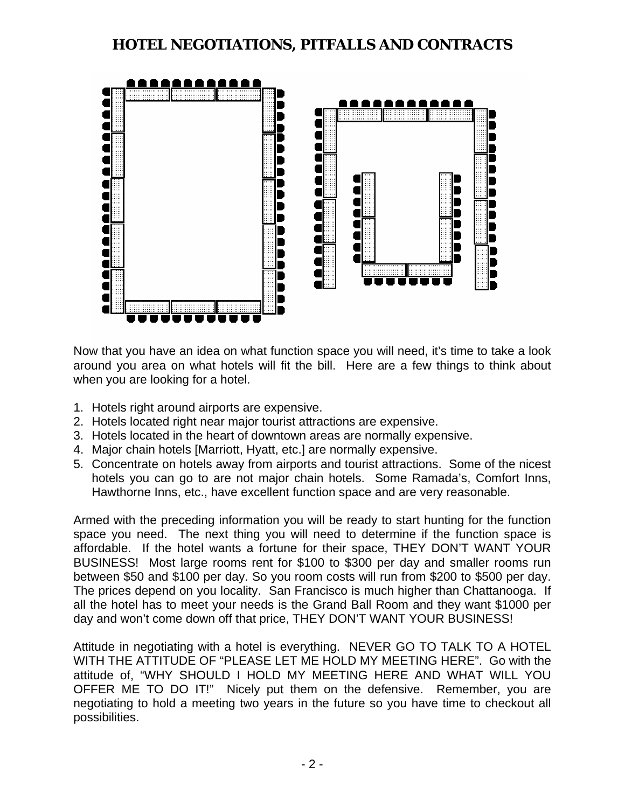

Now that you have an idea on what function space you will need, it's time to take a look around you area on what hotels will fit the bill. Here are a few things to think about when you are looking for a hotel.

- 1. Hotels right around airports are expensive.
- 2. Hotels located right near major tourist attractions are expensive.
- 3. Hotels located in the heart of downtown areas are normally expensive.
- 4. Major chain hotels [Marriott, Hyatt, etc.] are normally expensive.
- 5. Concentrate on hotels away from airports and tourist attractions. Some of the nicest hotels you can go to are not major chain hotels. Some Ramada's, Comfort Inns, Hawthorne Inns, etc., have excellent function space and are very reasonable.

Armed with the preceding information you will be ready to start hunting for the function space you need. The next thing you will need to determine if the function space is affordable. If the hotel wants a fortune for their space, THEY DON'T WANT YOUR BUSINESS! Most large rooms rent for \$100 to \$300 per day and smaller rooms run between \$50 and \$100 per day. So you room costs will run from \$200 to \$500 per day. The prices depend on you locality. San Francisco is much higher than Chattanooga. If all the hotel has to meet your needs is the Grand Ball Room and they want \$1000 per day and won't come down off that price, THEY DON'T WANT YOUR BUSINESS!

Attitude in negotiating with a hotel is everything. NEVER GO TO TALK TO A HOTEL WITH THE ATTITUDE OF "PLEASE LET ME HOLD MY MEETING HERE". Go with the attitude of, "WHY SHOULD I HOLD MY MEETING HERE AND WHAT WILL YOU OFFER ME TO DO IT!" Nicely put them on the defensive. Remember, you are negotiating to hold a meeting two years in the future so you have time to checkout all possibilities.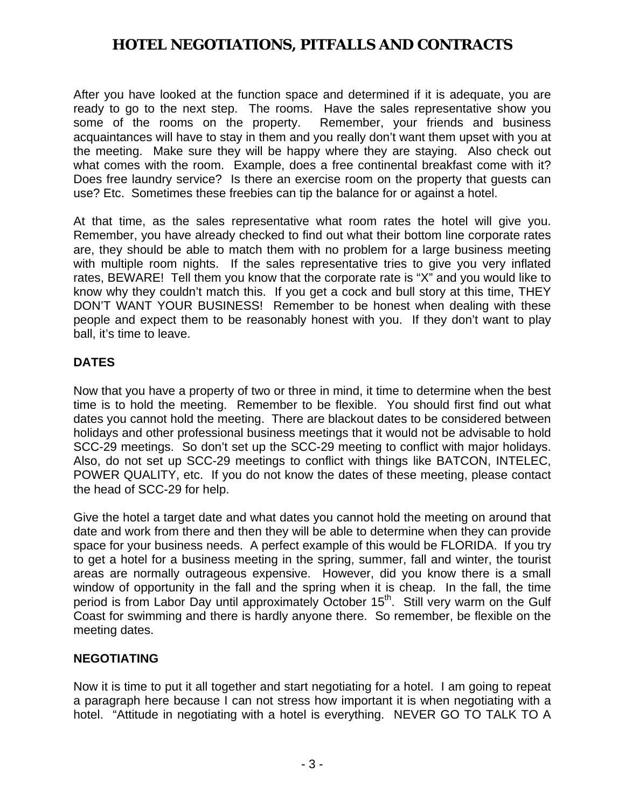After you have looked at the function space and determined if it is adequate, you are ready to go to the next step. The rooms. Have the sales representative show you some of the rooms on the property. Remember, your friends and business acquaintances will have to stay in them and you really don't want them upset with you at the meeting. Make sure they will be happy where they are staying. Also check out what comes with the room. Example, does a free continental breakfast come with it? Does free laundry service? Is there an exercise room on the property that guests can use? Etc. Sometimes these freebies can tip the balance for or against a hotel.

At that time, as the sales representative what room rates the hotel will give you. Remember, you have already checked to find out what their bottom line corporate rates are, they should be able to match them with no problem for a large business meeting with multiple room nights. If the sales representative tries to give you very inflated rates, BEWARE! Tell them you know that the corporate rate is "X" and you would like to know why they couldn't match this. If you get a cock and bull story at this time, THEY DON'T WANT YOUR BUSINESS! Remember to be honest when dealing with these people and expect them to be reasonably honest with you. If they don't want to play ball, it's time to leave.

#### **DATES**

Now that you have a property of two or three in mind, it time to determine when the best time is to hold the meeting. Remember to be flexible. You should first find out what dates you cannot hold the meeting. There are blackout dates to be considered between holidays and other professional business meetings that it would not be advisable to hold SCC-29 meetings. So don't set up the SCC-29 meeting to conflict with major holidays. Also, do not set up SCC-29 meetings to conflict with things like BATCON, INTELEC, POWER QUALITY, etc. If you do not know the dates of these meeting, please contact the head of SCC-29 for help.

Give the hotel a target date and what dates you cannot hold the meeting on around that date and work from there and then they will be able to determine when they can provide space for your business needs. A perfect example of this would be FLORIDA. If you try to get a hotel for a business meeting in the spring, summer, fall and winter, the tourist areas are normally outrageous expensive. However, did you know there is a small window of opportunity in the fall and the spring when it is cheap. In the fall, the time period is from Labor Day until approximately October 15<sup>th</sup>. Still very warm on the Gulf Coast for swimming and there is hardly anyone there. So remember, be flexible on the meeting dates.

#### **NEGOTIATING**

Now it is time to put it all together and start negotiating for a hotel. I am going to repeat a paragraph here because I can not stress how important it is when negotiating with a hotel. "Attitude in negotiating with a hotel is everything. NEVER GO TO TALK TO A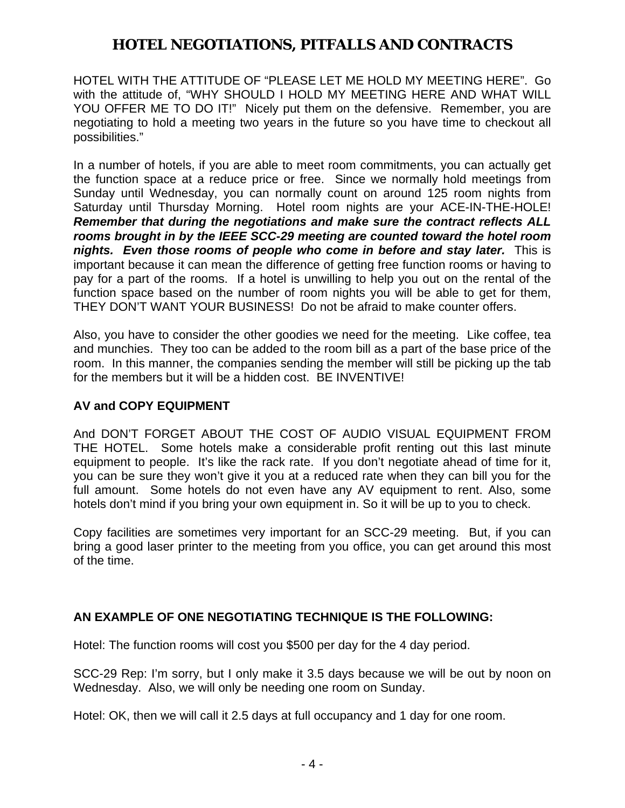HOTEL WITH THE ATTITUDE OF "PLEASE LET ME HOLD MY MEETING HERE". Go with the attitude of, "WHY SHOULD I HOLD MY MEETING HERE AND WHAT WILL YOU OFFER ME TO DO IT!" Nicely put them on the defensive. Remember, you are negotiating to hold a meeting two years in the future so you have time to checkout all possibilities."

In a number of hotels, if you are able to meet room commitments, you can actually get the function space at a reduce price or free. Since we normally hold meetings from Sunday until Wednesday, you can normally count on around 125 room nights from Saturday until Thursday Morning. Hotel room nights are your ACE-IN-THE-HOLE! *Remember that during the negotiations and make sure the contract reflects ALL rooms brought in by the IEEE SCC-29 meeting are counted toward the hotel room nights. Even those rooms of people who come in before and stay later.* This is important because it can mean the difference of getting free function rooms or having to pay for a part of the rooms. If a hotel is unwilling to help you out on the rental of the function space based on the number of room nights you will be able to get for them, THEY DON'T WANT YOUR BUSINESS! Do not be afraid to make counter offers.

Also, you have to consider the other goodies we need for the meeting. Like coffee, tea and munchies. They too can be added to the room bill as a part of the base price of the room. In this manner, the companies sending the member will still be picking up the tab for the members but it will be a hidden cost. BE INVENTIVE!

### **AV and COPY EQUIPMENT**

And DON'T FORGET ABOUT THE COST OF AUDIO VISUAL EQUIPMENT FROM THE HOTEL. Some hotels make a considerable profit renting out this last minute equipment to people. It's like the rack rate. If you don't negotiate ahead of time for it, you can be sure they won't give it you at a reduced rate when they can bill you for the full amount. Some hotels do not even have any AV equipment to rent. Also, some hotels don't mind if you bring your own equipment in. So it will be up to you to check.

Copy facilities are sometimes very important for an SCC-29 meeting. But, if you can bring a good laser printer to the meeting from you office, you can get around this most of the time.

### **AN EXAMPLE OF ONE NEGOTIATING TECHNIQUE IS THE FOLLOWING:**

Hotel: The function rooms will cost you \$500 per day for the 4 day period.

SCC-29 Rep: I'm sorry, but I only make it 3.5 days because we will be out by noon on Wednesday. Also, we will only be needing one room on Sunday.

Hotel: OK, then we will call it 2.5 days at full occupancy and 1 day for one room.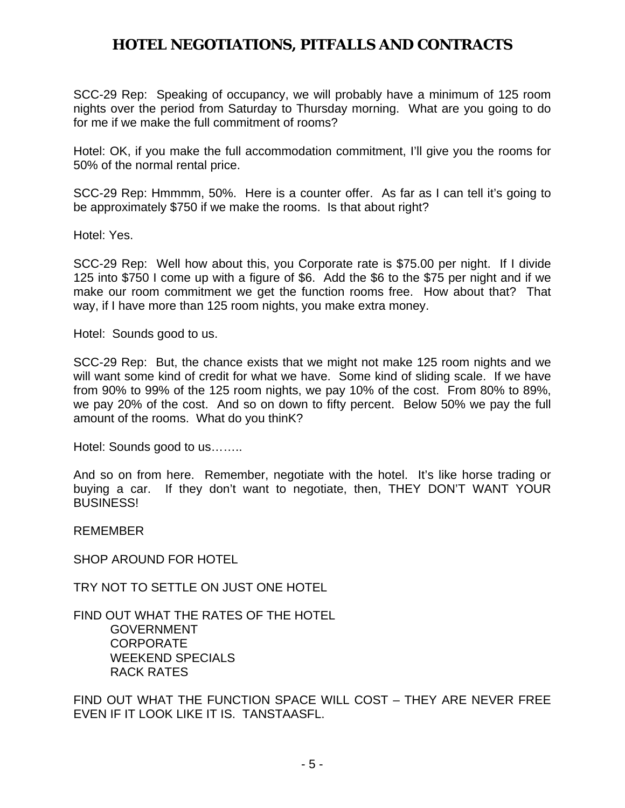SCC-29 Rep: Speaking of occupancy, we will probably have a minimum of 125 room nights over the period from Saturday to Thursday morning. What are you going to do for me if we make the full commitment of rooms?

Hotel: OK, if you make the full accommodation commitment, I'll give you the rooms for 50% of the normal rental price.

SCC-29 Rep: Hmmmm, 50%. Here is a counter offer. As far as I can tell it's going to be approximately \$750 if we make the rooms. Is that about right?

Hotel: Yes.

SCC-29 Rep: Well how about this, you Corporate rate is \$75.00 per night. If I divide 125 into \$750 I come up with a figure of \$6. Add the \$6 to the \$75 per night and if we make our room commitment we get the function rooms free. How about that? That way, if I have more than 125 room nights, you make extra money.

Hotel: Sounds good to us.

SCC-29 Rep: But, the chance exists that we might not make 125 room nights and we will want some kind of credit for what we have. Some kind of sliding scale. If we have from 90% to 99% of the 125 room nights, we pay 10% of the cost. From 80% to 89%, we pay 20% of the cost. And so on down to fifty percent. Below 50% we pay the full amount of the rooms. What do you thinK?

Hotel: Sounds good to us……..

And so on from here. Remember, negotiate with the hotel. It's like horse trading or buying a car. If they don't want to negotiate, then, THEY DON'T WANT YOUR BUSINESS!

REMEMBER

SHOP AROUND FOR HOTEL

TRY NOT TO SETTLE ON JUST ONE HOTEL

FIND OUT WHAT THE RATES OF THE HOTEL GOVERNMENT CORPORATE WEEKEND SPECIALS RACK RATES

FIND OUT WHAT THE FUNCTION SPACE WILL COST – THEY ARE NEVER FREE EVEN IF IT LOOK LIKE IT IS. TANSTAASFL.